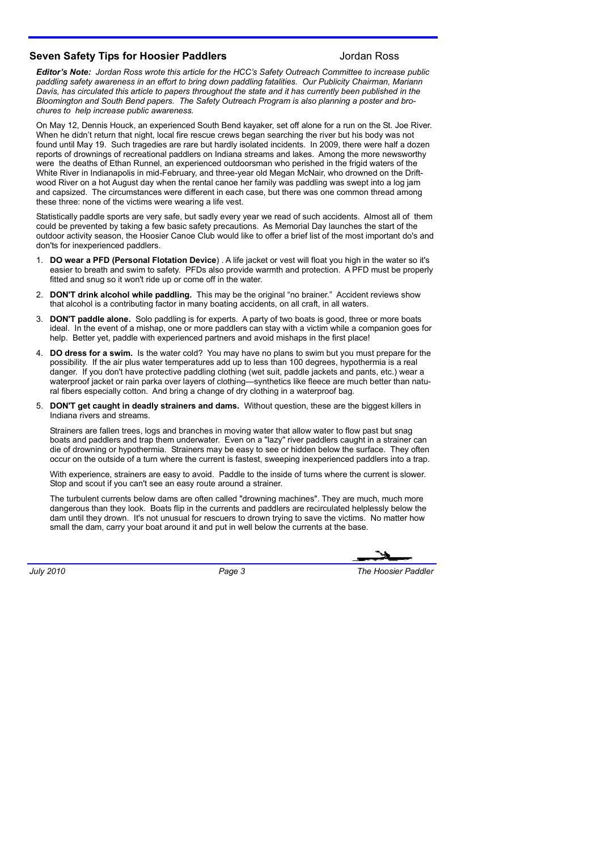## **Seven Safety Tips for Hoosier Paddlers** Manuscript Andrew Jordan Ross

*Editor's Note: Jordan Ross wrote this article for the HCC's Safety Outreach Committee to increase public paddling safety awareness in an effort to bring down paddling fatalities. Our Publicity Chairman, Mariann Davis, has circulated this article to papers throughout the state and it has currently been published in the Bloomington and South Bend papers. The Safety Outreach Program is also planning a poster and brochures to help increase public awareness.*

On May 12, Dennis Houck, an experienced South Bend kayaker, set off alone for a run on the St. Joe River. When he didn't return that night, local fire rescue crews began searching the river but his body was not found until May 19. Such tragedies are rare but hardly isolated incidents. In 2009, there were half a dozen reports of drownings of recreational paddlers on Indiana streams and lakes. Among the more newsworthy were the deaths of Ethan Runnel, an experienced outdoorsman who perished in the frigid waters of the White River in Indianapolis in mid-February, and three-year old Megan McNair, who drowned on the Driftwood River on a hot August day when the rental canoe her family was paddling was swept into a log jam and capsized. The circumstances were different in each case, but there was one common thread among these three: none of the victims were wearing a life vest.

Statistically paddle sports are very safe, but sadly every year we read of such accidents. Almost all of them could be prevented by taking a few basic safety precautions. As Memorial Day launches the start of the outdoor activity season, the Hoosier Canoe Club would like to offer a brief list of the most important do's and don'ts for inexperienced paddlers.

- 1. **DO wear a PFD (Personal Flotation Device**) . A life jacket or vest will float you high in the water so it's easier to breath and swim to safety. PFDs also provide warmth and protection. A PFD must be properly fitted and snug so it won't ride up or come off in the water.
- 2. **DON'T drink alcohol while paddling.** This may be the original "no brainer." Accident reviews show that alcohol is a contributing factor in many boating accidents, on all craft, in all waters.
- 3. **DON'T paddle alone.** Solo paddling is for experts. A party of two boats is good, three or more boats ideal. In the event of a mishap, one or more paddlers can stay with a victim while a companion goes for help. Better yet, paddle with experienced partners and avoid mishaps in the first place!
- 4. **DO dress for a swim.** Is the water cold? You may have no plans to swim but you must prepare for the possibility. If the air plus water temperatures add up to less than 100 degrees, hypothermia is a real danger. If you don't have protective paddling clothing (wet suit, paddle jackets and pants, etc.) wear a waterproof jacket or rain parka over layers of clothing—synthetics like fleece are much better than natural fibers especially cotton. And bring a change of dry clothing in a waterproof bag.
- 5. **DON'T get caught in deadly strainers and dams.** Without question, these are the biggest killers in Indiana rivers and streams.

Strainers are fallen trees, logs and branches in moving water that allow water to flow past but snag boats and paddlers and trap them underwater. Even on a "lazy" river paddlers caught in a strainer can die of drowning or hypothermia. Strainers may be easy to see or hidden below the surface. They often occur on the outside of a turn where the current is fastest, sweeping inexperienced paddlers into a trap.

With experience, strainers are easy to avoid. Paddle to the inside of turns where the current is slower. Stop and scout if you can't see an easy route around a strainer.

The turbulent currents below dams are often called "drowning machines". They are much, much more dangerous than they look. Boats flip in the currents and paddlers are recirculated helplessly below the dam until they drown. It's not unusual for rescuers to drown trying to save the victims. No matter how small the dam, carry your boat around it and put in well below the currents at the base.

*July 2010 Page 3 The Hoosier Paddler*